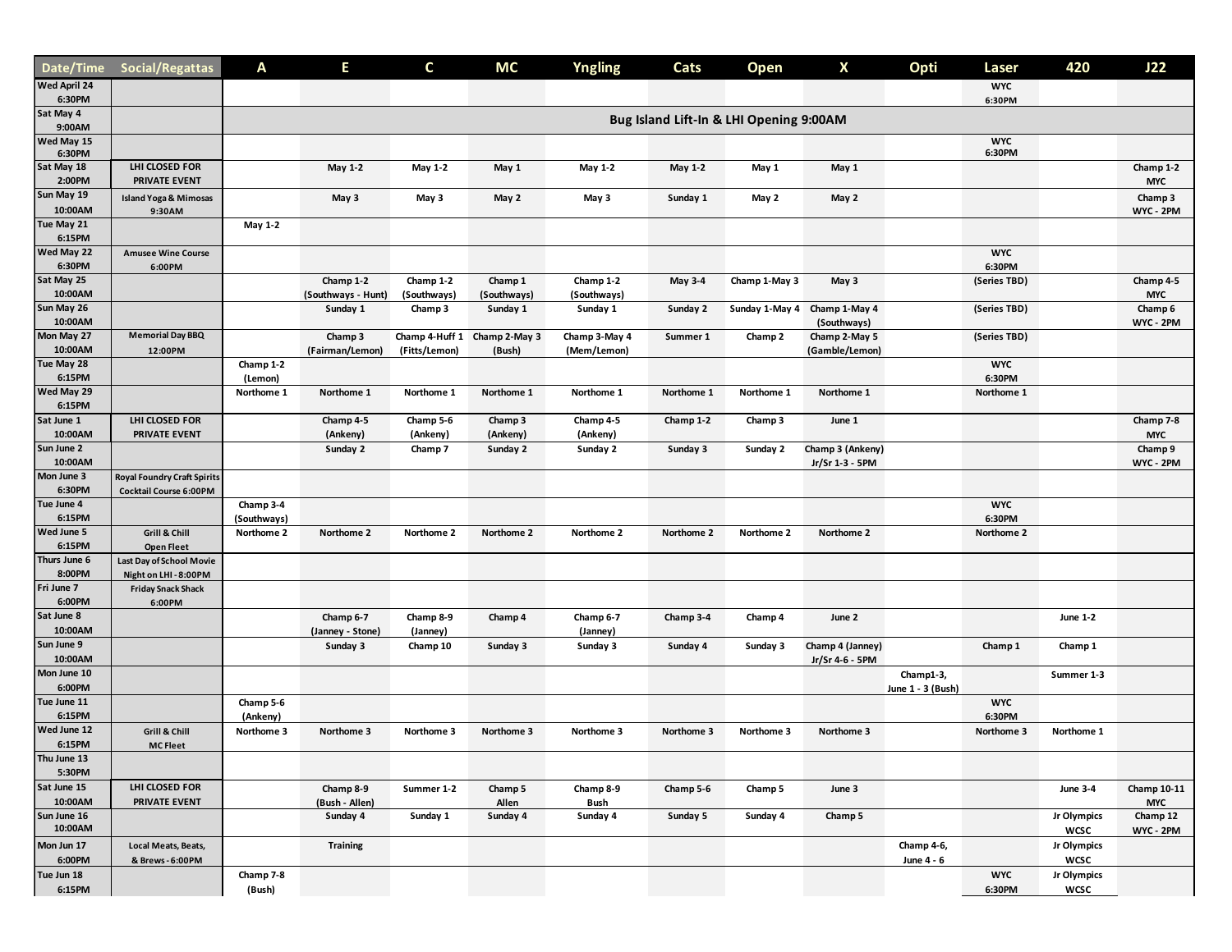| Date/Time                     | Social/Regattas                                    | Α                                       | Е                               | C                        | <b>MC</b>                              | <b>Yngling</b>               | Cats       | Open           | X                               | Opti              | Laser                | 420                        | J22                     |  |
|-------------------------------|----------------------------------------------------|-----------------------------------------|---------------------------------|--------------------------|----------------------------------------|------------------------------|------------|----------------|---------------------------------|-------------------|----------------------|----------------------------|-------------------------|--|
| <b>Wed April 24</b><br>6:30PM |                                                    |                                         |                                 |                          |                                        |                              |            |                |                                 |                   | <b>WYC</b><br>6:30PM |                            |                         |  |
| Sat May 4<br>9:00AM           |                                                    | Bug Island Lift-In & LHI Opening 9:00AM |                                 |                          |                                        |                              |            |                |                                 |                   |                      |                            |                         |  |
| Wed May 15<br>6:30PM          |                                                    |                                         |                                 |                          |                                        |                              |            |                |                                 |                   | <b>WYC</b><br>6:30PM |                            |                         |  |
| Sat May 18<br>2:00PM          | LHI CLOSED FOR<br>PRIVATE EVENT                    |                                         | May 1-2                         | May 1-2                  | May 1                                  | May 1-2                      | May 1-2    | May 1          | May 1                           |                   |                      |                            | Champ 1-2<br><b>MYC</b> |  |
| Sun May 19<br>10:00AM         | <b>Island Yoga &amp; Mimosas</b><br>9:30AM         |                                         | May 3                           | May 3                    | May 2                                  | May 3                        | Sunday 1   | May 2          | May 2                           |                   |                      |                            | Champ 3<br>WYC - 2PM    |  |
| Tue May 21<br>6:15PM          |                                                    | May 1-2                                 |                                 |                          |                                        |                              |            |                |                                 |                   |                      |                            |                         |  |
| Wed May 22<br>6:30PM          | <b>Amusee Wine Course</b><br>6:00PM                |                                         |                                 |                          |                                        |                              |            |                |                                 |                   | <b>WYC</b><br>6:30PM |                            |                         |  |
| Sat May 25<br>10:00AM         |                                                    |                                         | Champ 1-2<br>(Southways - Hunt) | Champ 1-2<br>(Southways) | Champ 1<br>(Southways)                 | Champ 1-2<br>(Southways)     | May 3-4    | Champ 1-May 3  | May 3                           |                   | (Series TBD)         |                            | Champ 4-5<br><b>MYC</b> |  |
| Sun May 26<br>10:00AM         |                                                    |                                         | Sunday 1                        | Champ 3                  | Sunday 1                               | Sunday 1                     | Sunday 2   | Sunday 1-May 4 | Champ 1-May 4<br>(Southways)    |                   | (Series TBD)         |                            | Champ 6<br>WYC - 2PM    |  |
| Mon May 27<br>10:00AM         | <b>Memorial Day BBQ</b><br>12:00PM                 |                                         | Champ 3<br>(Fairman/Lemon)      | (Fitts/Lemon)            | Champ 4-Huff 1 Champ 2-May 3<br>(Bush) | Champ 3-May 4<br>(Mem/Lemon) | Summer 1   | Champ 2        | Champ 2-May 5<br>(Gamble/Lemon) |                   | (Series TBD)         |                            |                         |  |
| Tue May 28<br>6:15PM          |                                                    | Champ 1-2<br>(Lemon)                    |                                 |                          |                                        |                              |            |                |                                 |                   | <b>WYC</b><br>6:30PM |                            |                         |  |
| Wed May 29<br>6:15PM          |                                                    | Northome 1                              | Northome 1                      | Northome 1               | Northome 1                             | Northome 1                   | Northome 1 | Northome 1     | Northome 1                      |                   | Northome 1           |                            |                         |  |
| Sat June 1<br>10:00AM         | LHI CLOSED FOR<br>PRIVATE EVENT                    |                                         | Champ 4-5<br>(Ankeny)           | Champ 5-6<br>(Ankeny)    | Champ 3<br>(Ankeny)                    | Champ 4-5<br>(Ankeny)        | Champ 1-2  | Champ 3        | June 1                          |                   |                      |                            | Champ 7-8<br><b>MYC</b> |  |
| Sun June 2<br>10:00AM         |                                                    |                                         | Sunday 2                        | Champ 7                  | Sunday 2                               | Sunday 2                     | Sunday 3   | Sunday 2       | Champ 3 (Ankeny)                |                   |                      |                            | Champ 9                 |  |
| Mon June 3                    | Royal Foundry Craft Spirits                        |                                         |                                 |                          |                                        |                              |            |                | Jr/Sr 1-3 - 5PM                 |                   |                      |                            | WYC - 2PM               |  |
| 6:30PM<br>Tue June 4          | <b>Cocktail Course 6:00PM</b>                      | Champ 3-4                               |                                 |                          |                                        |                              |            |                |                                 |                   | <b>WYC</b>           |                            |                         |  |
| 6:15PM<br>Wed June 5          | Grill & Chill                                      | (Southways)<br>Northome 2               | Northome 2                      | Northome 2               | Northome 2                             | Northome 2                   | Northome 2 | Northome 2     | Northome 2                      |                   | 6:30PM<br>Northome 2 |                            |                         |  |
| 6:15PM<br>Thurs June 6        | <b>Open Fleet</b><br>Last Day of School Movie      |                                         |                                 |                          |                                        |                              |            |                |                                 |                   |                      |                            |                         |  |
| 8:00PM<br>Fri June 7          | Night on LHI - 8:00PM<br><b>Friday Snack Shack</b> |                                         |                                 |                          |                                        |                              |            |                |                                 |                   |                      |                            |                         |  |
| 6:00PM<br>Sat June 8          | 6:00PM                                             |                                         | Champ 6-7                       | Champ 8-9                | Champ 4                                | Champ 6-7                    | Champ 3-4  | Champ 4        | June 2                          |                   |                      | <b>June 1-2</b>            |                         |  |
| 10:00AM<br>Sun June 9         |                                                    |                                         | (Janney - Stone)<br>Sunday 3    | (Janney)<br>Champ 10     | Sunday 3                               | (Janney)<br>Sunday 3         | Sunday 4   | Sunday 3       | Champ 4 (Janney)                |                   | Champ 1              | Champ 1                    |                         |  |
| 10:00AM<br>Mon June 10        |                                                    |                                         |                                 |                          |                                        |                              |            |                | Jr/Sr 4-6 - 5PM                 | Champ1-3,         |                      | Summer 1-3                 |                         |  |
| 6:00PM<br>Tue June 11         |                                                    | Champ 5-6                               |                                 |                          |                                        |                              |            |                |                                 | June 1 - 3 (Bush) | <b>WYC</b>           |                            |                         |  |
| 6:15PM<br>Wed June 12         | Grill & Chill                                      | (Ankeny)<br>Northome 3                  | Northome 3                      | Northome 3               | Northome 3                             | Northome 3                   | Northome 3 | Northome 3     | Northome 3                      |                   | 6:30PM<br>Northome 3 | Northome 1                 |                         |  |
| 6:15PM<br>Thu June 13         | <b>MC Fleet</b>                                    |                                         |                                 |                          |                                        |                              |            |                |                                 |                   |                      |                            |                         |  |
| 5:30PM<br>Sat June 15         | LHI CLOSED FOR                                     |                                         | Champ 8-9                       | Summer 1-2               | Champ 5                                | Champ 8-9                    | Champ 5-6  | Champ 5        | June 3                          |                   |                      | <b>June 3-4</b>            | Champ 10-11             |  |
| 10:00AM<br>Sun June 16        | PRIVATE EVENT                                      |                                         | (Bush - Allen)<br>Sunday 4      | Sunday 1                 | Allen<br>Sunday 4                      | Bush<br>Sunday 4             | Sunday 5   | Sunday 4       | Champ 5                         |                   |                      | Jr Olympics                | <b>MYC</b><br>Champ 12  |  |
| 10:00AM<br>Mon Jun 17         | Local Meats, Beats,                                |                                         | <b>Training</b>                 |                          |                                        |                              |            |                |                                 | Champ 4-6,        |                      | <b>WCSC</b><br>Jr Olympics | WYC - 2PM               |  |
| 6:00PM<br>Tue Jun 18          | & Brews-6:00PM                                     | Champ 7-8                               |                                 |                          |                                        |                              |            |                |                                 | June 4 - 6        | <b>WYC</b>           | <b>WCSC</b><br>Jr Olympics |                         |  |
| 6:15PM                        |                                                    | (Bush)                                  |                                 |                          |                                        |                              |            |                |                                 |                   | 6:30PM               | wcsc                       |                         |  |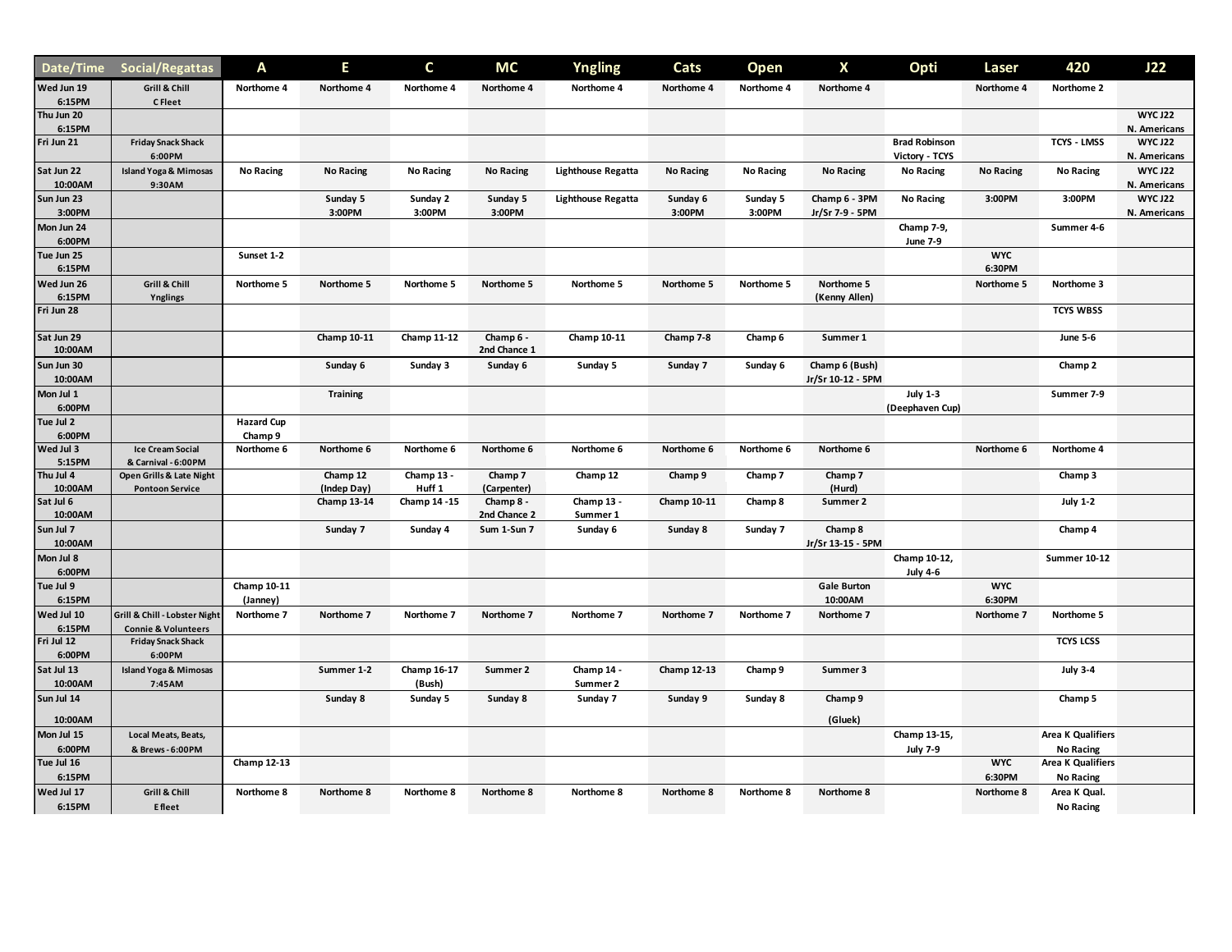| Date/Time             | Social/Regattas                     | A                  | Е                  | C                  | <b>MC</b>                 | <b>Yngling</b>            | Cats               | Open             | X                  | Opti                 | Laser            | 420                      | J22            |
|-----------------------|-------------------------------------|--------------------|--------------------|--------------------|---------------------------|---------------------------|--------------------|------------------|--------------------|----------------------|------------------|--------------------------|----------------|
| Wed Jun 19            | Grill & Chill                       | Northome 4         | Northome 4         | Northome 4         | Northome 4                | Northome 4                | Northome 4         | Northome 4       | Northome 4         |                      | Northome 4       | Northome 2               |                |
| 6:15PM<br>Thu Jun 20  | C Fleet                             |                    |                    |                    |                           |                           |                    |                  |                    |                      |                  |                          | <b>WYC J22</b> |
| 6:15PM                |                                     |                    |                    |                    |                           |                           |                    |                  |                    |                      |                  |                          | N. Americans   |
| Fri Jun 21            | <b>Friday Snack Shack</b>           |                    |                    |                    |                           |                           |                    |                  |                    | <b>Brad Robinson</b> |                  | <b>TCYS - LMSS</b>       | <b>WYC J22</b> |
|                       | 6:00PM                              |                    |                    |                    |                           |                           |                    |                  |                    | Victory - TCYS       |                  |                          | N. Americans   |
| Sat Jun 22            | <b>Island Yoga &amp; Mimosas</b>    | <b>No Racing</b>   | <b>No Racing</b>   | <b>No Racing</b>   | <b>No Racing</b>          | <b>Lighthouse Regatta</b> | <b>No Racing</b>   | <b>No Racing</b> | <b>No Racing</b>   | No Racing            | <b>No Racing</b> | <b>No Racing</b>         | <b>WYC J22</b> |
| 10:00AM               | 9:30AM                              |                    |                    |                    |                           |                           |                    |                  |                    |                      |                  |                          | N. Americans   |
| Sun Jun 23            |                                     |                    | Sunday 5           | Sunday 2           | Sunday 5                  | <b>Lighthouse Regatta</b> | Sunday 6           | Sunday 5         | Champ 6 - 3PM      | No Racing            | 3:00PM           | 3:00PM                   | <b>WYC J22</b> |
| 3:00PM                |                                     |                    | 3:00PM             | 3:00PM             | 3:00PM                    |                           | 3:00PM             | 3:00PM           | Jr/Sr 7-9 - 5PM    |                      |                  |                          | N. Americans   |
| Mon Jun 24            |                                     |                    |                    |                    |                           |                           |                    |                  |                    | Champ 7-9,           |                  | Summer 4-6               |                |
| 6:00PM                |                                     |                    |                    |                    |                           |                           |                    |                  |                    | <b>June 7-9</b>      |                  |                          |                |
| Tue Jun 25            |                                     | Sunset 1-2         |                    |                    |                           |                           |                    |                  |                    |                      | <b>WYC</b>       |                          |                |
| 6:15PM                |                                     |                    |                    |                    |                           |                           |                    |                  |                    |                      | 6:30PM           |                          |                |
| Wed Jun 26            | Grill & Chill                       | Northome 5         | Northome 5         | Northome 5         | Northome 5                | Northome 5                | Northome 5         | Northome 5       | Northome 5         |                      | Northome 5       | Northome 3               |                |
| 6:15PM                | Ynglings                            |                    |                    |                    |                           |                           |                    |                  | (Kenny Allen)      |                      |                  |                          |                |
| Fri Jun 28            |                                     |                    |                    |                    |                           |                           |                    |                  |                    |                      |                  | <b>TCYS WBSS</b>         |                |
|                       |                                     |                    |                    |                    |                           |                           |                    |                  |                    |                      |                  |                          |                |
| Sat Jun 29<br>10:00AM |                                     |                    | Champ 10-11        | <b>Champ 11-12</b> | Champ 6 -<br>2nd Chance 1 | Champ 10-11               | Champ 7-8          | Champ 6          | Summer 1           |                      |                  | <b>June 5-6</b>          |                |
| Sun Jun 30            |                                     |                    | Sunday 6           | Sunday 3           | Sunday 6                  | Sunday 5                  | Sunday 7           | Sunday 6         | Champ 6 (Bush)     |                      |                  | Champ 2                  |                |
| 10:00AM               |                                     |                    |                    |                    |                           |                           |                    |                  | Jr/Sr 10-12 - 5PM  |                      |                  |                          |                |
| Mon Jul 1             |                                     |                    | <b>Training</b>    |                    |                           |                           |                    |                  |                    | <b>July 1-3</b>      |                  | Summer 7-9               |                |
| 6:00PM                |                                     |                    |                    |                    |                           |                           |                    |                  |                    | (Deephaven Cup)      |                  |                          |                |
| Tue Jul 2             |                                     | <b>Hazard Cup</b>  |                    |                    |                           |                           |                    |                  |                    |                      |                  |                          |                |
| 6:00PM                |                                     | Champ 9            |                    |                    |                           |                           |                    |                  |                    |                      |                  |                          |                |
| Wed Jul 3             | <b>Ice Cream Social</b>             | Northome 6         | Northome 6         | Northome 6         | Northome 6                | Northome 6                | Northome 6         | Northome 6       | Northome 6         |                      | Northome 6       | Northome 4               |                |
| 5:15PM                | & Carnival - 6:00PM                 |                    |                    |                    |                           |                           |                    |                  |                    |                      |                  |                          |                |
| Thu Jul 4             | Open Grills & Late Night            |                    | Champ 12           | Champ 13 -         | Champ 7                   | Champ 12                  | Champ 9            | Champ 7          | Champ 7            |                      |                  | Champ 3                  |                |
| 10:00AM               | <b>Pontoon Service</b>              |                    | (Indep Day)        | Huff <sub>1</sub>  | (Carpenter)               |                           |                    |                  | (Hurd)             |                      |                  |                          |                |
| Sat Jul 6             |                                     |                    | <b>Champ 13-14</b> | Champ 14 - 15      | Champ 8 -                 | Champ 13 -                | Champ 10-11        | Champ 8          | Summer 2           |                      |                  | <b>July 1-2</b>          |                |
| 10:00AM               |                                     |                    |                    |                    | 2nd Chance 2              | Summer 1                  |                    |                  |                    |                      |                  |                          |                |
| Sun Jul 7             |                                     |                    | Sunday 7           | Sunday 4           | Sum 1-Sun 7               | Sunday 6                  | Sunday 8           | Sunday 7         | Champ 8            |                      |                  | Champ 4                  |                |
| 10:00AM               |                                     |                    |                    |                    |                           |                           |                    |                  | Jr/Sr 13-15 - 5PM  |                      |                  |                          |                |
| Mon Jul 8             |                                     |                    |                    |                    |                           |                           |                    |                  |                    | Champ 10-12,         |                  | <b>Summer 10-12</b>      |                |
| 6:00PM                |                                     |                    |                    |                    |                           |                           |                    |                  |                    | <b>July 4-6</b>      |                  |                          |                |
| Tue Jul 9             |                                     | Champ 10-11        |                    |                    |                           |                           |                    |                  | <b>Gale Burton</b> |                      | <b>WYC</b>       |                          |                |
| 6:15PM                |                                     | (Janney)           |                    |                    |                           |                           |                    |                  | 10:00AM            |                      | 6:30PM           |                          |                |
| Wed Jul 10            | Grill & Chill - Lobster Night       | Northome 7         | Northome 7         | Northome 7         | Northome 7                | Northome 7                | Northome 7         | Northome 7       | Northome 7         |                      | Northome 7       | Northome 5               |                |
| 6:15PM<br>Fri Jul 12  | <b>Connie &amp; Volunteers</b>      |                    |                    |                    |                           |                           |                    |                  |                    |                      |                  | <b>TCYS LCSS</b>         |                |
| 6:00PM                | <b>Friday Snack Shack</b><br>6:00PM |                    |                    |                    |                           |                           |                    |                  |                    |                      |                  |                          |                |
|                       |                                     |                    |                    |                    |                           |                           |                    |                  |                    |                      |                  |                          |                |
| Sat Jul 13            | <b>Island Yoga &amp; Mimosas</b>    |                    | Summer 1-2         | Champ 16-17        | Summer 2                  | Champ 14 -                | <b>Champ 12-13</b> | Champ 9          | Summer 3           |                      |                  | <b>July 3-4</b>          |                |
| 10:00AM               | 7:45AM                              |                    |                    | (Bush)             |                           | Summer 2                  |                    |                  |                    |                      |                  |                          |                |
| Sun Jul 14            |                                     |                    | Sunday 8           | Sunday 5           | Sunday 8                  | Sunday 7                  | Sunday 9           | Sunday 8         | Champ 9            |                      |                  | Champ 5                  |                |
| 10:00AM               |                                     |                    |                    |                    |                           |                           |                    |                  | (Gluek)            |                      |                  |                          |                |
| Mon Jul 15            | Local Meats, Beats,                 |                    |                    |                    |                           |                           |                    |                  |                    | Champ 13-15,         |                  | <b>Area K Qualifiers</b> |                |
| 6:00PM                | & Brews-6:00PM                      |                    |                    |                    |                           |                           |                    |                  |                    | <b>July 7-9</b>      |                  | <b>No Racing</b>         |                |
| Tue Jul 16            |                                     | <b>Champ 12-13</b> |                    |                    |                           |                           |                    |                  |                    |                      | <b>WYC</b>       | <b>Area K Qualifiers</b> |                |
| 6:15PM                |                                     |                    |                    |                    |                           |                           |                    |                  |                    |                      | 6:30PM           | <b>No Racing</b>         |                |
| Wed Jul 17            | Grill & Chill                       | Northome 8         | Northome 8         | Northome 8         | Northome 8                | Northome 8                | Northome 8         | Northome 8       | Northome 8         |                      | Northome 8       | Area K Qual.             |                |
| 6:15PM                | <b>E</b> fleet                      |                    |                    |                    |                           |                           |                    |                  |                    |                      |                  | No Racing                |                |
|                       |                                     |                    |                    |                    |                           |                           |                    |                  |                    |                      |                  |                          |                |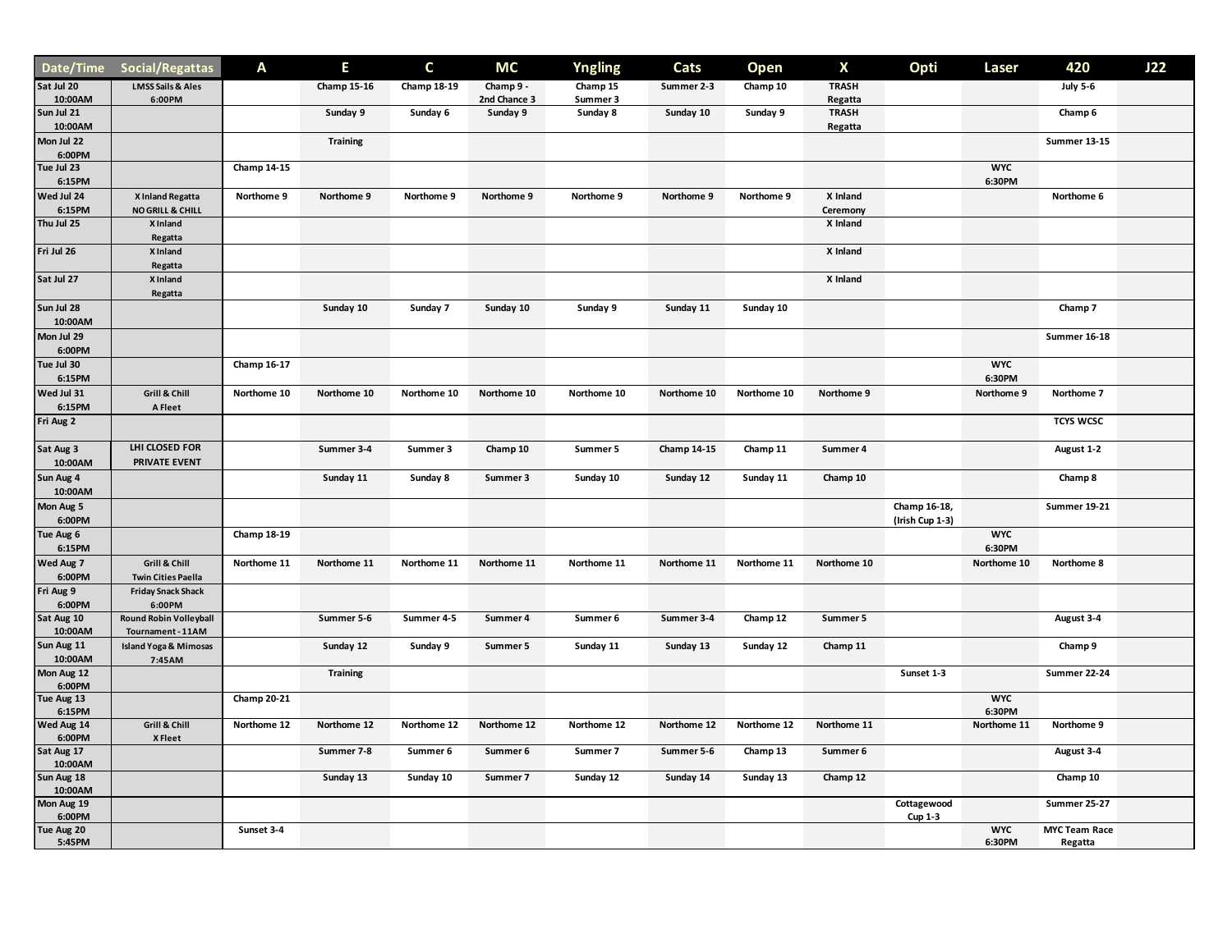| Date/Time             | Social/Regattas                                    | Α                  | Е                  | C           | МC                       | <b>Yngling</b>       | Cats               | <b>Open</b> | X                       | Opti                            | Laser                | 420                             | J22 |
|-----------------------|----------------------------------------------------|--------------------|--------------------|-------------|--------------------------|----------------------|--------------------|-------------|-------------------------|---------------------------------|----------------------|---------------------------------|-----|
| Sat Jul 20            | <b>LMSS Sails &amp; Ales</b>                       |                    | <b>Champ 15-16</b> | Champ 18-19 | Champ 9 -                | Champ 15             | Summer 2-3         | Champ 10    | <b>TRASH</b>            |                                 |                      | <b>July 5-6</b>                 |     |
| 10:00AM<br>Sun Jul 21 | 6:00PM                                             |                    | Sunday 9           | Sunday 6    | 2nd Chance 3<br>Sunday 9 | Summer 3<br>Sunday 8 | Sunday 10          | Sunday 9    | Regatta<br><b>TRASH</b> |                                 |                      | Champ 6                         |     |
| 10:00AM               |                                                    |                    |                    |             |                          |                      |                    |             | Regatta                 |                                 |                      |                                 |     |
| Mon Jul 22<br>6:00PM  |                                                    |                    | <b>Training</b>    |             |                          |                      |                    |             |                         |                                 |                      | <b>Summer 13-15</b>             |     |
| Tue Jul 23<br>6:15PM  |                                                    | <b>Champ 14-15</b> |                    |             |                          |                      |                    |             |                         |                                 | <b>WYC</b><br>6:30PM |                                 |     |
| Wed Jul 24<br>6:15PM  | X Inland Regatta<br><b>NO GRILL &amp; CHILL</b>    | Northome 9         | Northome 9         | Northome 9  | Northome 9               | Northome 9           | Northome 9         | Northome 9  | X Inland<br>Ceremony    |                                 |                      | Northome 6                      |     |
| Thu Jul 25            | X Inland                                           |                    |                    |             |                          |                      |                    |             | X Inland                |                                 |                      |                                 |     |
|                       | Regatta                                            |                    |                    |             |                          |                      |                    |             |                         |                                 |                      |                                 |     |
| Fri Jul 26            | X Inland                                           |                    |                    |             |                          |                      |                    |             | X Inland                |                                 |                      |                                 |     |
| Sat Jul 27            | Regatta<br>X Inland                                |                    |                    |             |                          |                      |                    |             | X Inland                |                                 |                      |                                 |     |
|                       | Regatta                                            |                    |                    |             |                          |                      |                    |             |                         |                                 |                      |                                 |     |
| Sun Jul 28<br>10:00AM |                                                    |                    | Sunday 10          | Sunday 7    | Sunday 10                | Sunday 9             | Sunday 11          | Sunday 10   |                         |                                 |                      | Champ 7                         |     |
| Mon Jul 29<br>6:00PM  |                                                    |                    |                    |             |                          |                      |                    |             |                         |                                 |                      | Summer 16-18                    |     |
| Tue Jul 30<br>6:15PM  |                                                    | Champ 16-17        |                    |             |                          |                      |                    |             |                         |                                 | <b>WYC</b><br>6:30PM |                                 |     |
| Wed Jul 31<br>6:15PM  | Grill & Chill<br>A Fleet                           | Northome 10        | Northome 10        | Northome 10 | Northome 10              | Northome 10          | Northome 10        | Northome 10 | Northome 9              |                                 | Northome 9           | Northome 7                      |     |
| Fri Aug 2             |                                                    |                    |                    |             |                          |                      |                    |             |                         |                                 |                      | <b>TCYS WCSC</b>                |     |
| Sat Aug 3<br>10:00AM  | LHI CLOSED FOR<br>PRIVATE EVENT                    |                    | Summer 3-4         | Summer 3    | Champ 10                 | Summer 5             | <b>Champ 14-15</b> | Champ 11    | Summer 4                |                                 |                      | August 1-2                      |     |
| Sun Aug 4<br>10:00AM  |                                                    |                    | Sunday 11          | Sunday 8    | Summer 3                 | Sunday 10            | Sunday 12          | Sunday 11   | Champ 10                |                                 |                      | Champ 8                         |     |
| Mon Aug 5<br>6:00PM   |                                                    |                    |                    |             |                          |                      |                    |             |                         | Champ 16-18,<br>(Irish Cup 1-3) |                      | Summer 19-21                    |     |
| Tue Aug 6<br>6:15PM   |                                                    | <b>Champ 18-19</b> |                    |             |                          |                      |                    |             |                         |                                 | <b>WYC</b><br>6:30PM |                                 |     |
| Wed Aug 7<br>6:00PM   | Grill & Chill<br><b>Twin Cities Paella</b>         | Northome 11        | Northome 11        | Northome 11 | Northome 11              | Northome 11          | Northome 11        | Northome 11 | Northome 10             |                                 | Northome 10          | Northome 8                      |     |
| Fri Aug 9<br>6:00PM   | <b>Friday Snack Shack</b><br>6:00PM                |                    |                    |             |                          |                      |                    |             |                         |                                 |                      |                                 |     |
| Sat Aug 10<br>10:00AM | <b>Round Robin Volleyball</b><br>Tournament - 11AM |                    | Summer 5-6         | Summer 4-5  | Summer 4                 | Summer 6             | Summer 3-4         | Champ 12    | Summer 5                |                                 |                      | August 3-4                      |     |
| Sun Aug 11<br>10:00AM | <b>Island Yoga &amp; Mimosas</b><br>7:45AM         |                    | Sunday 12          | Sunday 9    | Summer 5                 | Sunday 11            | Sunday 13          | Sunday 12   | Champ 11                |                                 |                      | Champ 9                         |     |
| Mon Aug 12<br>6:00PM  |                                                    |                    | <b>Training</b>    |             |                          |                      |                    |             |                         | Sunset 1-3                      |                      | <b>Summer 22-24</b>             |     |
| Tue Aug 13<br>6:15PM  |                                                    | <b>Champ 20-21</b> |                    |             |                          |                      |                    |             |                         |                                 | <b>WYC</b><br>6:30PM |                                 |     |
| Wed Aug 14<br>6:00PM  | Grill & Chill<br>X Fleet                           | Northome 12        | Northome 12        | Northome 12 | Northome 12              | Northome 12          | Northome 12        | Northome 12 | Northome 11             |                                 | Northome 11          | Northome 9                      |     |
| Sat Aug 17<br>10:00AM |                                                    |                    | Summer 7-8         | Summer 6    | Summer 6                 | Summer 7             | Summer 5-6         | Champ 13    | Summer 6                |                                 |                      | August 3-4                      |     |
| Sun Aug 18<br>10:00AM |                                                    |                    | Sunday 13          | Sunday 10   | Summer 7                 | Sunday 12            | Sunday 14          | Sunday 13   | Champ 12                |                                 |                      | Champ 10                        |     |
| Mon Aug 19<br>6:00PM  |                                                    |                    |                    |             |                          |                      |                    |             |                         | Cottagewood<br>Cup 1-3          |                      | Summer 25-27                    |     |
| Tue Aug 20<br>5:45PM  |                                                    | Sunset 3-4         |                    |             |                          |                      |                    |             |                         |                                 | <b>WYC</b><br>6:30PM | <b>MYC Team Race</b><br>Regatta |     |